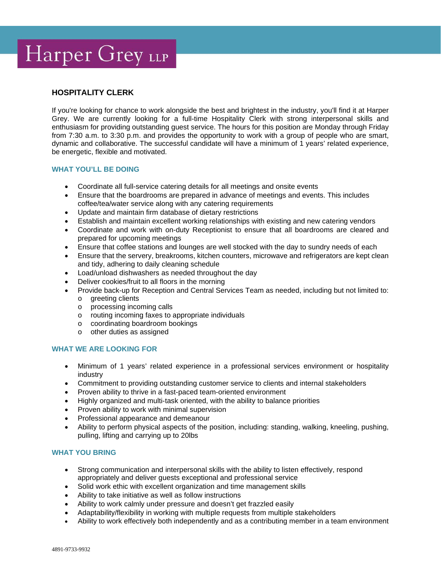# Harper Grey LLP

## **HOSPITALITY CLERK**

If you're looking for chance to work alongside the best and brightest in the industry, you'll find it at Harper Grey. We are currently looking for a full-time Hospitality Clerk with strong interpersonal skills and enthusiasm for providing outstanding guest service. The hours for this position are Monday through Friday from 7:30 a.m. to 3:30 p.m. and provides the opportunity to work with a group of people who are smart, dynamic and collaborative. The successful candidate will have a minimum of 1 years' related experience, be energetic, flexible and motivated.

### **WHAT YOU'LL BE DOING**

- Coordinate all full-service catering details for all meetings and onsite events
- Ensure that the boardrooms are prepared in advance of meetings and events. This includes coffee/tea/water service along with any catering requirements
- Update and maintain firm database of dietary restrictions
- Establish and maintain excellent working relationships with existing and new catering vendors
- Coordinate and work with on-duty Receptionist to ensure that all boardrooms are cleared and prepared for upcoming meetings
- Ensure that coffee stations and lounges are well stocked with the day to sundry needs of each
- Ensure that the servery, breakrooms, kitchen counters, microwave and refrigerators are kept clean and tidy, adhering to daily cleaning schedule
- Load/unload dishwashers as needed throughout the day
- Deliver cookies/fruit to all floors in the morning
- Provide back-up for Reception and Central Services Team as needed, including but not limited to:
	- o greeting clients
	- o processing incoming calls
	- o routing incoming faxes to appropriate individuals
	- o coordinating boardroom bookings
	- o other duties as assigned

### **WHAT WE ARE LOOKING FOR**

- Minimum of 1 years' related experience in a professional services environment or hospitality industry
- Commitment to providing outstanding customer service to clients and internal stakeholders
- Proven ability to thrive in a fast-paced team-oriented environment
- Highly organized and multi-task oriented, with the ability to balance priorities
- Proven ability to work with minimal supervision
- Professional appearance and demeanour
- Ability to perform physical aspects of the position, including: standing, walking, kneeling, pushing, pulling, lifting and carrying up to 20lbs

## **WHAT YOU BRING**

- Strong communication and interpersonal skills with the ability to listen effectively, respond appropriately and deliver guests exceptional and professional service
- Solid work ethic with excellent organization and time management skills
- Ability to take initiative as well as follow instructions
- Ability to work calmly under pressure and doesn't get frazzled easily
- Adaptability/flexibility in working with multiple requests from multiple stakeholders
- Ability to work effectively both independently and as a contributing member in a team environment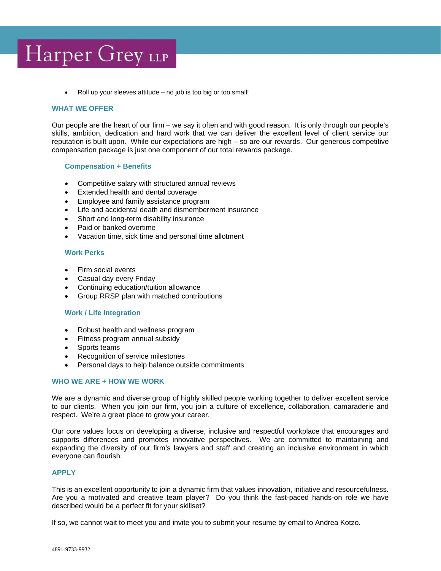# Harper Grey LLP

Roll up your sleeves attitude  $-$  no job is too big or too small!

#### **WHAT WE OFFER**

Our people are the heart of our firm – we say it often and with good reason. It is only through our people's skills, ambition, dedication and hard work that we can deliver the excellent level of client service our reputation is built upon. While our expectations are high – so are our rewards. Our generous competitive compensation package is just one component of our total rewards package.

#### **Compensation + Benefits**

- Competitive salary with structured annual reviews
- Extended health and dental coverage
- Employee and family assistance program
- Life and accidental death and dismemberment insurance
- Short and long-term disability insurance
- Paid or banked overtime
- Vacation time, sick time and personal time allotment

#### **Work Perks**

- Firm social events
- Casual day every Friday
- Continuing education/tuition allowance
- Group RRSP plan with matched contributions

#### **Work / Life Integration**

- Robust health and wellness program
- Fitness program annual subsidy
- Sports teams
- Recognition of service milestones
- Personal days to help balance outside commitments

### **WHO WE ARE + HOW WE WORK**

We are a dynamic and diverse group of highly skilled people working together to deliver excellent service to our clients. When you join our firm, you join a culture of excellence, collaboration, camaraderie and respect. We're a great place to grow your career.

Our core values focus on developing a diverse, inclusive and respectful workplace that encourages and supports differences and promotes innovative perspectives. We are committed to maintaining and expanding the diversity of our firm's lawyers and staff and creating an inclusive environment in which everyone can flourish.

#### **APPLY**

This is an excellent opportunity to join a dynamic firm that values innovation, initiative and resourcefulness. Are you a motivated and creative team player? Do you think the fast-paced hands-on role we have described would be a perfect fit for your skillset?

If so, we cannot wait to meet you and invite you to submit your resume by email to Andrea Kotzo.